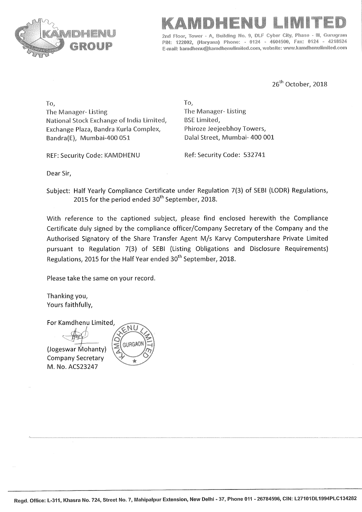



Tower - A, Building No. 9, DLF Cyber City, Guruaram PIN: 122002, (Haryana) Phone: - 0124 - 4604500, Fax: 0124 - 4218524 E-mail: kamdhenu@kamdhenulimited.com, website: www.kamdhenulimited.com

26<sup>th</sup> October, 2018

To, The Manager-Listing National Stock Exchange of India Limited, Exchange Plaza, Bandra Kurla Complex, Bandra(E), Mumbai-400 051

REF: Security Code: KAMDHENU

To, The Manager-Listing **BSE Limited,** Phiroze Jeejeebhoy Towers, Dalal Street, Mumbai- 400 001

Ref: Security Code: 532741

Dear Sir,

Subject: Half Yearly Compliance Certificate under Regulation 7(3) of SEBI (LODR) Regulations, 2015 for the period ended 30<sup>th</sup> September, 2018.

With reference to the captioned subject, please find enclosed herewith the Compliance Certificate duly signed by the compliance officer/Company Secretary of the Company and the Authorised Signatory of the Share Transfer Agent M/s Karvy Computershare Private Limited pursuant to Regulation 7(3) of SEBI (Listing Obligations and Disclosure Requirements) Regulations, 2015 for the Half Year ended 30<sup>th</sup> September, 2018.

Please take the same on your record.

Thanking you, Yours faithfully,

For Kamdhenu Limited,

(Jogeswar Mohanty) **Company Secretary** M. No. ACS23247